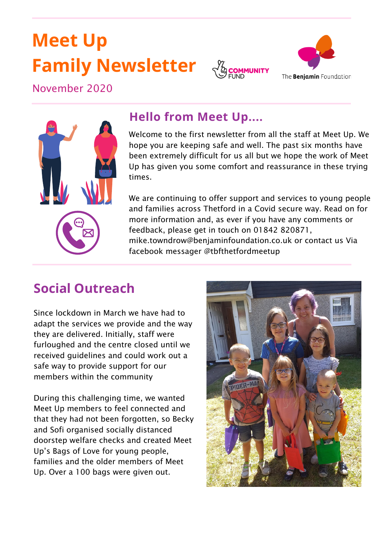# **Meet Up Family Newsletter**





November 2020



#### **Hello from Meet Up....**

Welcome to the first newsletter from all the staff at Meet Up. We hope you are keeping safe and well. The past six months have been extremely difficult for us all but we hope the work of Meet Up has given you some comfort and reassurance in these trying times.

We are continuing to offer support and services to young people and families across Thetford in a Covid secure way. Read on for more information and, as ever if you have any comments or feedback, please get in touch on 01842 820871, mike.towndrow@benjaminfoundation.co.uk or contact us Via facebook messager @tbfthetfordmeetup

### **Social Outreach**

Since lockdown in March we have had to adapt the services we provide and the way they are delivered. Initially, staff were furloughed and the centre closed until we received guidelines and could work out a safe way to provide support for our members within the community

During this challenging time, we wanted Meet Up members to feel connected and that they had not been forgotten, so Becky and Sofi organised socially distanced doorstep welfare checks and created Meet Up's Bags of Love for young people, families and the older members of Meet Up. Over a 100 bags were given out.

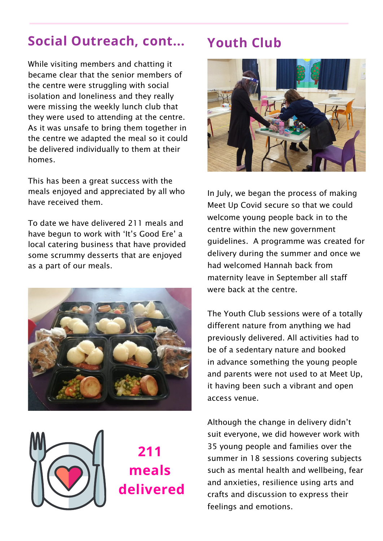### **Social Outreach, cont... Youth Club**

While visiting members and chatting it became clear that the senior members of the centre were struggling with social isolation and loneliness and they really were missing the weekly lunch club that they were used to attending at the centre. As it was unsafe to bring them together in the centre we adapted the meal so it could be delivered individually to them at their homes.

This has been a great success with the meals enjoyed and appreciated by all who have received them.

To date we have delivered 211 meals and have begun to work with 'It's Good Ere' a local catering business that have provided some scrummy desserts that are enjoyed as a part of our meals.





**211 meals delivered**



In July, we began the process of making Meet Up Covid secure so that we could welcome young people back in to the centre within the new government guidelines. A programme was created for delivery during the summer and once we had welcomed Hannah back from maternity leave in September all staff were back at the centre.

The Youth Club sessions were of a totally different nature from anything we had previously delivered. All activities had to be of a sedentary nature and booked in advance something the young people and parents were not used to at Meet Up, it having been such a vibrant and open access venue.

Although the change in delivery didn't suit everyone, we did however work with 35 young people and families over the summer in 18 sessions covering subjects such as mental health and wellbeing, fear and anxieties, resilience using arts and crafts and discussion to express their feelings and emotions.